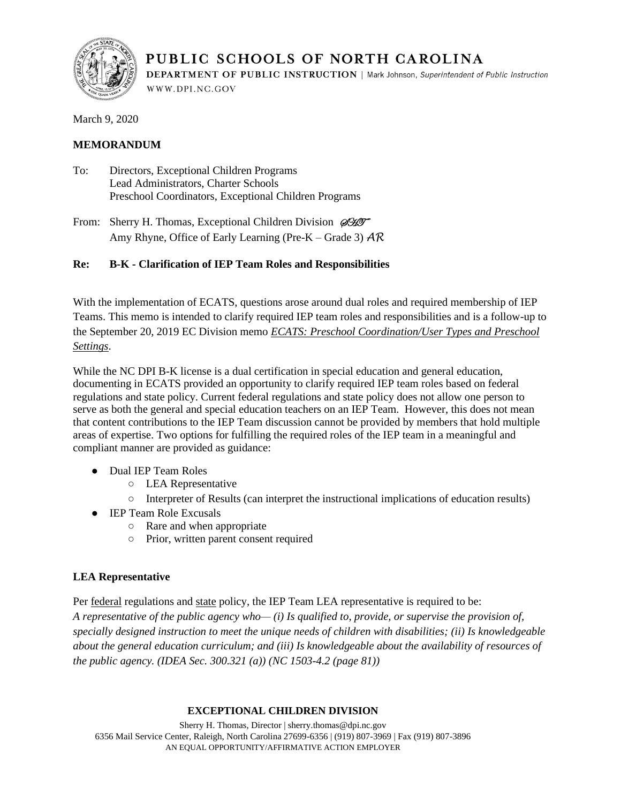

PUBLIC SCHOOLS OF NORTH CAROLINA **DEPARTMENT OF PUBLIC INSTRUCTION** | Mark Johnson, Superintendent of Public Instruction WWW.DPI.NC.GOV

March 9, 2020

# **MEMORANDUM**

- To: Directors, Exceptional Children Programs Lead Administrators, Charter Schools Preschool Coordinators, Exceptional Children Programs
- From: Sherry H. Thomas, Exceptional Children Division  $\mathscr{D\!H\!I\!T}$ Amy Rhyne, Office of Early Learning (Pre-K – Grade 3) *AR*

# **Re: B-K - Clarification of IEP Team Roles and Responsibilities**

With the implementation of ECATS, questions arose around dual roles and required membership of IEP Teams. This memo is intended to clarify required IEP team roles and responsibilities and is a follow-up to the September 20, 2019 EC Division memo *[ECATS: Preschool Coordination/User Types and Preschool](https://ec.ncpublicschools.gov/policies/nc-policies-governing-services-for-children-with-disabilities/ncdpi-communication/2019-2020/ec-division-memos/preschool-coodination-user-types.pdf/view)  [Settings](https://ec.ncpublicschools.gov/policies/nc-policies-governing-services-for-children-with-disabilities/ncdpi-communication/2019-2020/ec-division-memos/preschool-coodination-user-types.pdf/view)*.

While the NC DPI B-K license is a dual certification in special education and general education, documenting in ECATS provided an opportunity to clarify required IEP team roles based on federal regulations and state policy. Current federal regulations and state policy does not allow one person to serve as both the general and special education teachers on an IEP Team. However, this does not mean that content contributions to the IEP Team discussion cannot be provided by members that hold multiple areas of expertise. Two options for fulfilling the required roles of the IEP team in a meaningful and compliant manner are provided as guidance:

- Dual IEP Team Roles
	- LEA Representative
	- Interpreter of Results (can interpret the instructional implications of education results)
- IEP Team Role Excusals
	- Rare and when appropriate
	- Prior, written parent consent required

# **LEA Representative**

Per <u>federal</u> regulations and [state](https://ec.ncpublicschools.gov/conferences-profdev/march-institute/2018-march-institute-handouts/policy-updates-legal-trends/amendedmarch2018policy.pdf) policy, the IEP Team LEA representative is required to be: *A representative of the public agency who— (i) Is qualified to, provide, or supervise the provision of,* 

*specially designed instruction to meet the unique needs of children with disabilities; (ii) Is knowledgeable about the general education curriculum; and (iii) Is knowledgeable about the availability of resources of the public agency. (IDEA Sec. 300.321 (a)) (NC 1503-4.2 (page 81))*

## **EXCEPTIONAL CHILDREN DIVISION**

Sherry H. Thomas, Director | sherry.thomas@dpi.nc.gov 6356 Mail Service Center, Raleigh, North Carolina 27699-6356 | (919) 807-3969 | Fax (919) 807-3896 AN EQUAL OPPORTUNITY/AFFIRMATIVE ACTION EMPLOYER